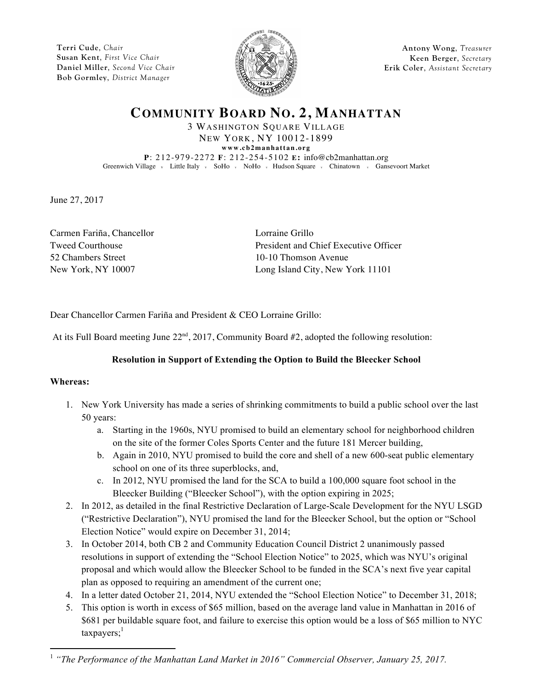**Terri Cude**, *Chair* **Susan Kent**, *First Vice Chair* **Daniel Miller**, *Second Vice Chair* **Bob Gormley**, *District Manager*



**Antony Wong**, *Treasurer* **Keen Berger**, *Secretary* **Erik Coler**, *Assistant Secretary*

**COMMUNITY BOARD NO. 2, MANHATTAN**

3 WASHINGTON SQUARE VILLAGE NEW YORK, NY 10012-1899 **www.cb2manhattan.org P**: 212-979-2272 **F**: 212-254-5102 **E:** info@cb2manhattan.org Greenwich Village v Little Italy v SoHo v NoHo v Hudson Square v Chinatown v Gansevoort Market

June 27, 2017

Carmen Fariña, Chancellor Lorraine Grillo 52 Chambers Street 10-10 Thomson Avenue

Tweed Courthouse President and Chief Executive Officer New York, NY 10007 Long Island City, New York 11101

Dear Chancellor Carmen Fariña and President & CEO Lorraine Grillo:

At its Full Board meeting June  $22<sup>nd</sup>$ , 2017, Community Board #2, adopted the following resolution:

## **Resolution in Support of Extending the Option to Build the Bleecker School**

## **Whereas:**

 $\overline{a}$ 

- 1. New York University has made a series of shrinking commitments to build a public school over the last 50 years:
	- a. Starting in the 1960s, NYU promised to build an elementary school for neighborhood children on the site of the former Coles Sports Center and the future 181 Mercer building,
	- b. Again in 2010, NYU promised to build the core and shell of a new 600-seat public elementary school on one of its three superblocks, and,
	- c. In 2012, NYU promised the land for the SCA to build a 100,000 square foot school in the Bleecker Building ("Bleecker School"), with the option expiring in 2025;
- 2. In 2012, as detailed in the final Restrictive Declaration of Large-Scale Development for the NYU LSGD ("Restrictive Declaration"), NYU promised the land for the Bleecker School, but the option or "School Election Notice" would expire on December 31, 2014;
- 3. In October 2014, both CB 2 and Community Education Council District 2 unanimously passed resolutions in support of extending the "School Election Notice" to 2025, which was NYU's original proposal and which would allow the Bleecker School to be funded in the SCA's next five year capital plan as opposed to requiring an amendment of the current one;
- 4. In a letter dated October 21, 2014, NYU extended the "School Election Notice" to December 31, 2018;
- 5. This option is worth in excess of \$65 million, based on the average land value in Manhattan in 2016 of \$681 per buildable square foot, and failure to exercise this option would be a loss of \$65 million to NYC  $taxpayers;$ <sup>1</sup>

<sup>&</sup>lt;sup>1</sup> "The Performance of the Manhattan Land Market in 2016" Commercial Observer, January 25, 2017.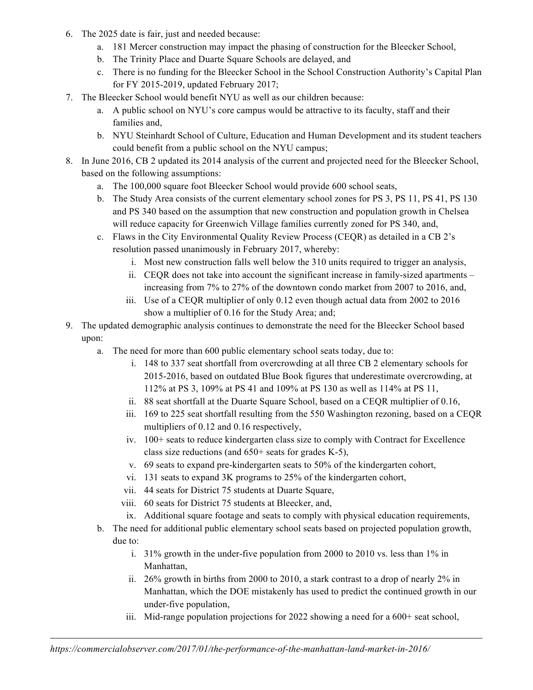- 6. The 2025 date is fair, just and needed because:
	- a. 181 Mercer construction may impact the phasing of construction for the Bleecker School,
	- b. The Trinity Place and Duarte Square Schools are delayed, and
	- c. There is no funding for the Bleecker School in the School Construction Authority's Capital Plan for FY 2015-2019, updated February 2017;
- 7. The Bleecker School would benefit NYU as well as our children because:
	- a. A public school on NYU's core campus would be attractive to its faculty, staff and their families and,
	- b. NYU Steinhardt School of Culture, Education and Human Development and its student teachers could benefit from a public school on the NYU campus;
- 8. In June 2016, CB 2 updated its 2014 analysis of the current and projected need for the Bleecker School, based on the following assumptions:
	- a. The 100,000 square foot Bleecker School would provide 600 school seats,
	- b. The Study Area consists of the current elementary school zones for PS 3, PS 11, PS 41, PS 130 and PS 340 based on the assumption that new construction and population growth in Chelsea will reduce capacity for Greenwich Village families currently zoned for PS 340, and,
	- c. Flaws in the City Environmental Quality Review Process (CEQR) as detailed in a CB 2's resolution passed unanimously in February 2017, whereby:
		- i. Most new construction falls well below the 310 units required to trigger an analysis,
		- ii. CEQR does not take into account the significant increase in family-sized apartments increasing from 7% to 27% of the downtown condo market from 2007 to 2016, and,
		- iii. Use of a CEQR multiplier of only 0.12 even though actual data from 2002 to 2016 show a multiplier of 0.16 for the Study Area; and;
- 9. The updated demographic analysis continues to demonstrate the need for the Bleecker School based upon:
	- a. The need for more than 600 public elementary school seats today, due to:
		- i. 148 to 337 seat shortfall from overcrowding at all three CB 2 elementary schools for 2015-2016, based on outdated Blue Book figures that underestimate overcrowding, at 112% at PS 3, 109% at PS 41 and 109% at PS 130 as well as 114% at PS 11,
		- ii. 88 seat shortfall at the Duarte Square School, based on a CEQR multiplier of 0.16,
		- iii. 169 to 225 seat shortfall resulting from the 550 Washington rezoning, based on a CEQR multipliers of 0.12 and 0.16 respectively,
		- iv. 100+ seats to reduce kindergarten class size to comply with Contract for Excellence class size reductions (and 650+ seats for grades K-5),
		- v. 69 seats to expand pre-kindergarten seats to 50% of the kindergarten cohort,
		- vi. 131 seats to expand 3K programs to 25% of the kindergarten cohort,
		- vii. 44 seats for District 75 students at Duarte Square,
		- viii. 60 seats for District 75 students at Bleecker, and,
		- ix. Additional square footage and seats to comply with physical education requirements,
	- b. The need for additional public elementary school seats based on projected population growth, due to:
		- i. 31% growth in the under-five population from 2000 to 2010 vs. less than 1% in Manhattan,
		- ii. 26% growth in births from 2000 to 2010, a stark contrast to a drop of nearly 2% in Manhattan, which the DOE mistakenly has used to predict the continued growth in our under-five population,
		- iii. Mid-range population projections for 2022 showing a need for a 600+ seat school,

**.**